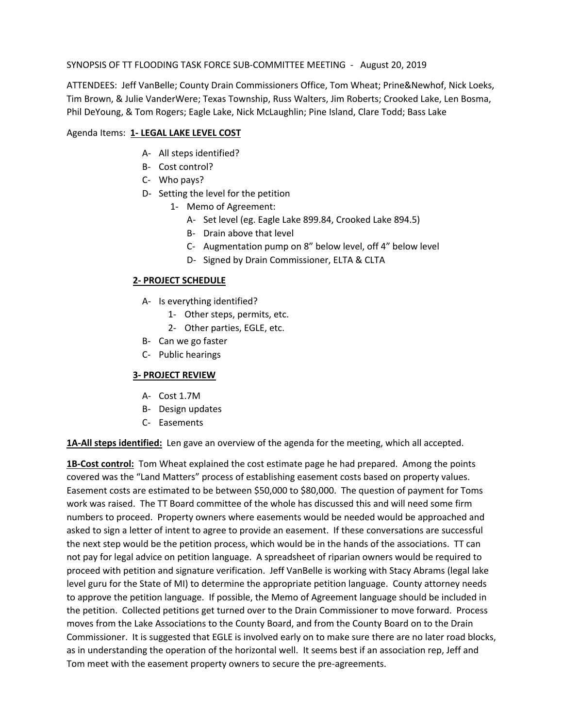## SYNOPSIS OF TT FLOODING TASK FORCE SUB-COMMITTEE MEETING - August 20, 2019

ATTENDEES: Jeff VanBelle; County Drain Commissioners Office, Tom Wheat; Prine&Newhof, Nick Loeks, Tim Brown, & Julie VanderWere; Texas Township, Russ Walters, Jim Roberts; Crooked Lake, Len Bosma, Phil DeYoung, & Tom Rogers; Eagle Lake, Nick McLaughlin; Pine Island, Clare Todd; Bass Lake

## Agenda Items: **1- LEGAL LAKE LEVEL COST**

- A- All steps identified?
- B- Cost control?
- C- Who pays?
- D- Setting the level for the petition
	- 1- Memo of Agreement:
		- A- Set level (eg. Eagle Lake 899.84, Crooked Lake 894.5)
		- B- Drain above that level
		- C- Augmentation pump on 8" below level, off 4" below level
		- D- Signed by Drain Commissioner, ELTA & CLTA

## **2- PROJECT SCHEDULE**

- A- Is everything identified?
	- 1- Other steps, permits, etc.
	- 2- Other parties, EGLE, etc.
- B- Can we go faster
- C- Public hearings

## **3- PROJECT REVIEW**

- A- Cost 1.7M
- B- Design updates
- C- Easements

**1A-All steps identified:** Len gave an overview of the agenda for the meeting, which all accepted.

**1B-Cost control:** Tom Wheat explained the cost estimate page he had prepared. Among the points covered was the "Land Matters" process of establishing easement costs based on property values. Easement costs are estimated to be between \$50,000 to \$80,000. The question of payment for Toms work was raised. The TT Board committee of the whole has discussed this and will need some firm numbers to proceed. Property owners where easements would be needed would be approached and asked to sign a letter of intent to agree to provide an easement. If these conversations are successful the next step would be the petition process, which would be in the hands of the associations. TT can not pay for legal advice on petition language. A spreadsheet of riparian owners would be required to proceed with petition and signature verification. Jeff VanBelle is working with Stacy Abrams (legal lake level guru for the State of MI) to determine the appropriate petition language. County attorney needs to approve the petition language. If possible, the Memo of Agreement language should be included in the petition. Collected petitions get turned over to the Drain Commissioner to move forward. Process moves from the Lake Associations to the County Board, and from the County Board on to the Drain Commissioner. It is suggested that EGLE is involved early on to make sure there are no later road blocks, as in understanding the operation of the horizontal well. It seems best if an association rep, Jeff and Tom meet with the easement property owners to secure the pre-agreements.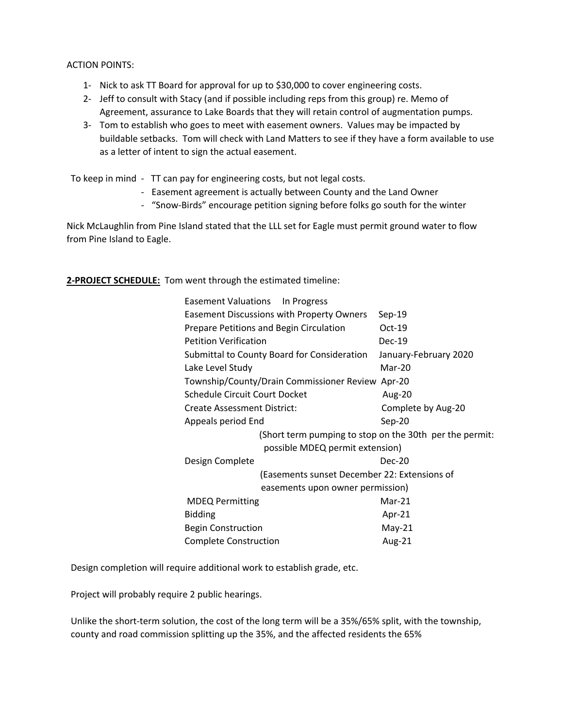ACTION POINTS:

- 1- Nick to ask TT Board for approval for up to \$30,000 to cover engineering costs.
- 2- Jeff to consult with Stacy (and if possible including reps from this group) re. Memo of Agreement, assurance to Lake Boards that they will retain control of augmentation pumps.
- 3- Tom to establish who goes to meet with easement owners. Values may be impacted by buildable setbacks. Tom will check with Land Matters to see if they have a form available to use as a letter of intent to sign the actual easement.

To keep in mind - TT can pay for engineering costs, but not legal costs.

- Easement agreement is actually between County and the Land Owner
- "Snow-Birds" encourage petition signing before folks go south for the winter

Nick McLaughlin from Pine Island stated that the LLL set for Eagle must permit ground water to flow from Pine Island to Eagle.

**2-PROJECT SCHEDULE:** Tom went through the estimated timeline:

| <b>Easement Valuations</b><br>In Progress               |                       |
|---------------------------------------------------------|-----------------------|
| <b>Easement Discussions with Property Owners</b>        | $Sep-19$              |
| Prepare Petitions and Begin Circulation                 | $Oct-19$              |
| <b>Petition Verification</b>                            | Dec-19                |
| Submittal to County Board for Consideration             | January-February 2020 |
| Lake Level Study                                        | $Mar-20$              |
| Township/County/Drain Commissioner Review Apr-20        |                       |
| <b>Schedule Circuit Court Docket</b>                    | Aug-20                |
| Create Assessment District:                             | Complete by Aug-20    |
| Appeals period End                                      | Sep-20                |
| (Short term pumping to stop on the 30th per the permit: |                       |
| possible MDEQ permit extension)                         |                       |
| Design Complete                                         | Dec-20                |
| (Easements sunset December 22: Extensions of            |                       |
| easements upon owner permission)                        |                       |
| <b>MDEQ Permitting</b>                                  | $Mar-21$              |
| <b>Bidding</b>                                          | Apr-21                |
| <b>Begin Construction</b>                               | $May-21$              |
| <b>Complete Construction</b>                            | Aug-21                |

Design completion will require additional work to establish grade, etc.

Project will probably require 2 public hearings.

Unlike the short-term solution, the cost of the long term will be a 35%/65% split, with the township, county and road commission splitting up the 35%, and the affected residents the 65%